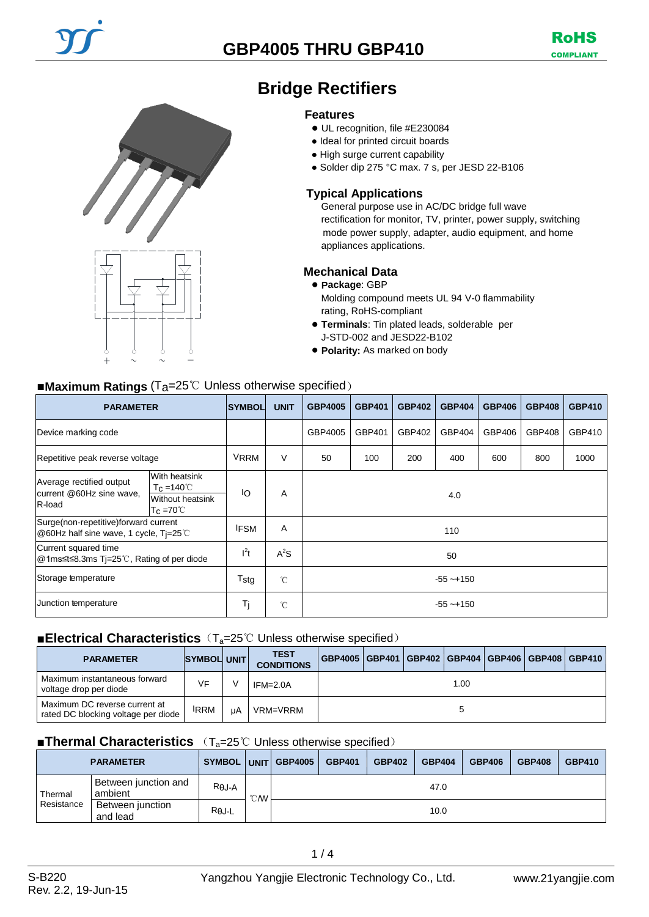



# **Bridge Rectifiers**

#### **Features**

- UL recognition, file #E230084
- Ideal for printed circuit boards
- High surge current capability
- Solder dip 275 °C max. 7 s, per JESD 22-B106

### **Typical Applications**

General purpose use in AC/DC bridge full wave rectification for monitor, TV, printer, power supply, switching mode power supply, adapter, audio equipment, and home appliances applications.

#### **Mechanical Data**

#### ● **Package**: GBP

Molding compound meets UL 94 V-0 flammability rating, RoHS-compliant

- **Terminals**: Tin plated leads, solderable per J-STD-002 and JESD22-B102
- **Polarity:** As marked on body

### ■**Maximum Ratings** (Ta=25℃ Unless otherwise specified)

| <b>PARAMETER</b>                                                                         |                                                                                                    | <b>SYMBOL</b> | <b>UNIT</b>  | <b>GBP4005</b> | <b>GBP401</b> | <b>GBP402</b> | <b>GBP404</b> | <b>GBP406</b> | <b>GBP408</b> | <b>GBP410</b> |
|------------------------------------------------------------------------------------------|----------------------------------------------------------------------------------------------------|---------------|--------------|----------------|---------------|---------------|---------------|---------------|---------------|---------------|
| Device marking code                                                                      |                                                                                                    |               |              | GBP4005        | GBP401        | GBP402        | GBP404        | GBP406        | GBP408        | GBP410        |
| Repetitive peak reverse voltage                                                          |                                                                                                    | <b>VRRM</b>   | V            | 50             | 100           | 200           | 400           | 600           | 800           | 1000          |
| Average rectified output<br>current @60Hz sine wave,<br>R-load                           | <b>With heatsink</b><br>$T_{\rm C} = 140^{\circ}$<br><b>Without heatsink</b><br>$T_c = 70^{\circ}$ | ΙO            | A            | 4.0            |               |               |               |               |               |               |
| Surge(non-repetitive)forward current<br>@60Hz half sine wave, 1 cycle, $Ti=25^{\circ}$ C |                                                                                                    | <b>IFSM</b>   | A            | 110            |               |               |               |               |               |               |
| Current squared time<br>@1ms≤t≤8.3ms Tj=25℃, Rating of per diode                         |                                                                                                    | $l^2t$        | $A^2S$       | 50             |               |               |               |               |               |               |
| Storage temperature                                                                      |                                                                                                    | Tstg          | $^{\circ}$ C | $-55 - +150$   |               |               |               |               |               |               |
| Junction temperature                                                                     |                                                                                                    | Tj            | $^{\circ}$ C | $-55 - +150$   |               |               |               |               |               |               |

#### ■**Electrical Characteristics** (T<sub>a</sub>=25℃ Unless otherwise specified)

| <b>PARAMETER</b>                                                     | SYMBOL UNIT |    | <b>TEST</b><br><b>CONDITIONS</b> | GBP4005   GBP401   GBP402   GBP404   GBP406   GBP408   GBP410 |  |  |  |  |  |  |
|----------------------------------------------------------------------|-------------|----|----------------------------------|---------------------------------------------------------------|--|--|--|--|--|--|
| Maximum instantaneous forward<br>voltage drop per diode              | VF          |    | $IFM=2.0A$                       | 1.00                                                          |  |  |  |  |  |  |
| Maximum DC reverse current at<br>rated DC blocking voltage per diode | <b>IRRM</b> | uA | VRM=VRRM                         |                                                               |  |  |  |  |  |  |

#### ■**Thermal Characteristics** (T<sub>a</sub>=25℃ Unless otherwise specified)

| <b>PARAMETER</b>                           |                              |               |                  | SYMBOL UNIT GBP4005 | <b>GBP401</b> | <b>GBP402</b> | <b>GBP404</b> | <b>GBP406</b> | <b>GBP408</b> | <b>GBP410</b> |
|--------------------------------------------|------------------------------|---------------|------------------|---------------------|---------------|---------------|---------------|---------------|---------------|---------------|
| Between junction and<br>ambient<br>Thermal |                              | $R\theta$ J-A | $\mathcal{C}$ MV | 47.0                |               |               |               |               |               |               |
| Resistance                                 | Between junction<br>and lead | $R\theta$ J-L |                  |                     |               |               | 10.0          |               |               |               |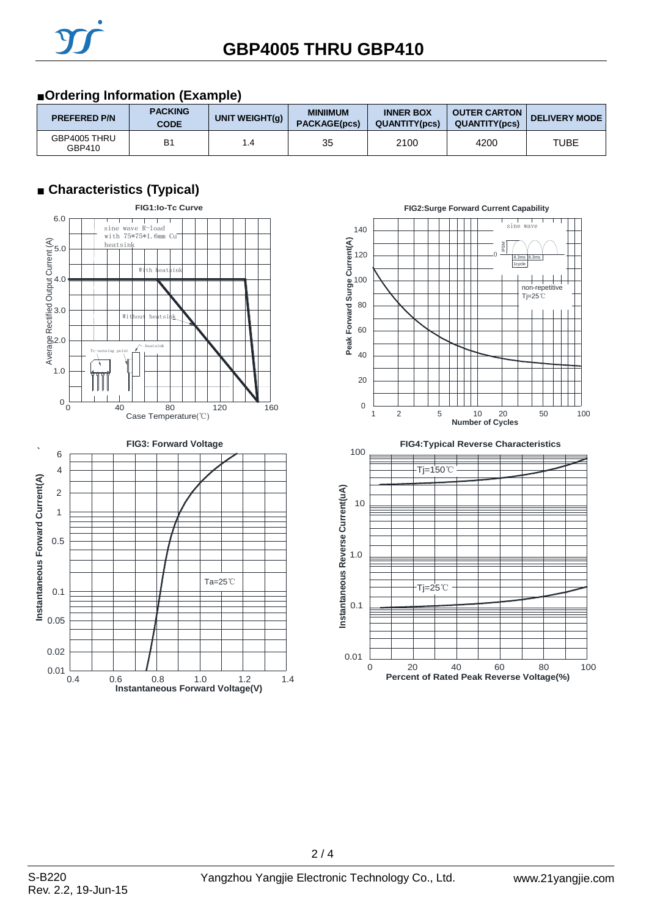## ■**Ordering Information (Example)**

| <b>PREFERED P/N</b>    | <b>PACKING</b><br><b>CODE</b> | UNIT WEIGHT(g) | <b>MINIIMUM</b><br><b>PACKAGE(pcs)</b> | <b>INNER BOX</b><br><b>QUANTITY(pcs)</b> | <b>OUTER CARTON</b><br><b>QUANTITY(pcs)</b> | <b>DELIVERY MODE</b> |
|------------------------|-------------------------------|----------------|----------------------------------------|------------------------------------------|---------------------------------------------|----------------------|
| GBP4005 THRU<br>GBP410 | B <sub>1</sub>                | .4             | 35                                     | 2100                                     | 4200                                        | TUBE                 |

## ■ **Characteristics (Typical)**



0.4 0.6 0.8 1.0 1.2 1.4

**Instantaneous Forward Voltage(V)**





 $2/4$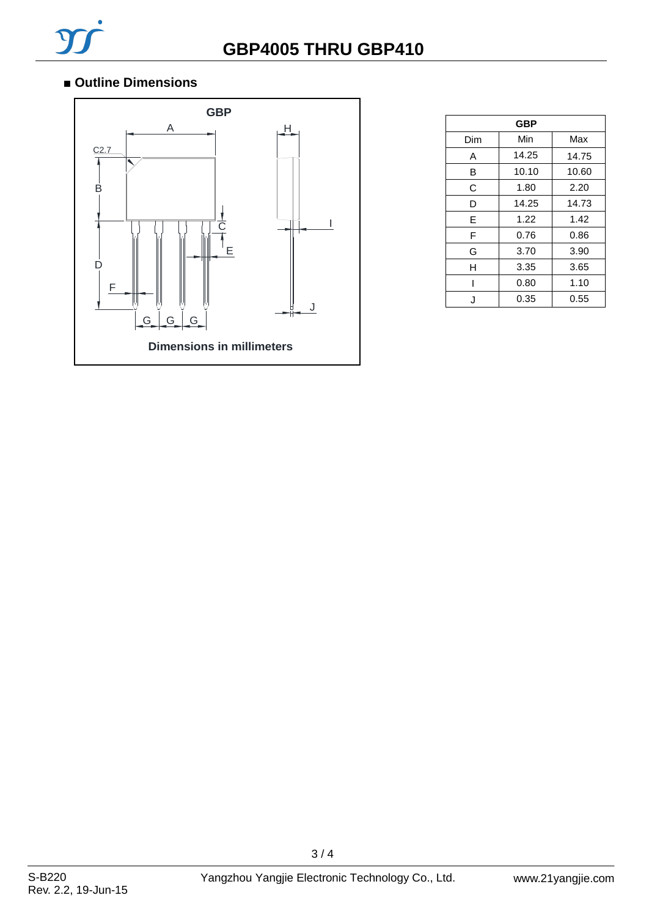## ■ Outline Dimensions



| GBP |       |       |  |  |  |  |
|-----|-------|-------|--|--|--|--|
| Dim | Min   | Max   |  |  |  |  |
| A   | 14.25 | 14.75 |  |  |  |  |
| в   | 10.10 | 10.60 |  |  |  |  |
| C   | 1.80  | 2.20  |  |  |  |  |
| D   | 14.25 | 14.73 |  |  |  |  |
| Е   | 1.22  | 1.42  |  |  |  |  |
| F   | 0.76  | 0.86  |  |  |  |  |
| G   | 3.70  | 3.90  |  |  |  |  |
| н   | 3.35  | 3.65  |  |  |  |  |
| ı   | 0.80  | 1.10  |  |  |  |  |
| J.  | 0.35  | 0.55  |  |  |  |  |